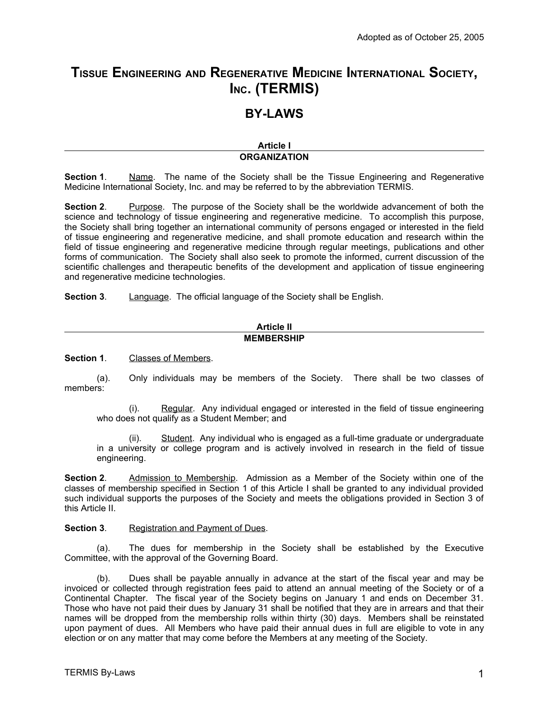# **TISSUE ENGINEERING AND REGENERATIVE MEDICINE INTERNATIONAL SOCIETY, INC. (TERMIS)**

# **BY-LAWS**

#### **Article I ORGANIZATION**

**Section 1.** Name. The name of the Society shall be the Tissue Engineering and Regenerative Medicine International Society, Inc. and may be referred to by the abbreviation TERMIS.

**Section 2.** Purpose. The purpose of the Society shall be the worldwide advancement of both the science and technology of tissue engineering and regenerative medicine. To accomplish this purpose, the Society shall bring together an international community of persons engaged or interested in the field of tissue engineering and regenerative medicine, and shall promote education and research within the field of tissue engineering and regenerative medicine through regular meetings, publications and other forms of communication. The Society shall also seek to promote the informed, current discussion of the scientific challenges and therapeutic benefits of the development and application of tissue engineering and regenerative medicine technologies.

**Section 3**. Language. The official language of the Society shall be English.

| <b>Article II</b> |
|-------------------|
| <b>MEMBERSHIP</b> |

**Section 1**. Classes of Members.

(a). Only individuals may be members of the Society. There shall be two classes of members:

(i). Regular. Any individual engaged or interested in the field of tissue engineering who does not qualify as a Student Member; and

(ii). Student. Any individual who is engaged as a full-time graduate or undergraduate in a university or college program and is actively involved in research in the field of tissue engineering.

**Section 2**. Admission to Membership. Admission as a Member of the Society within one of the classes of membership specified in Section 1 of this Article I shall be granted to any individual provided such individual supports the purposes of the Society and meets the obligations provided in Section 3 of this Article II.

**Section 3**. Registration and Payment of Dues.

(a). The dues for membership in the Society shall be established by the Executive Committee, with the approval of the Governing Board.

(b). Dues shall be payable annually in advance at the start of the fiscal year and may be invoiced or collected through registration fees paid to attend an annual meeting of the Society or of a Continental Chapter. The fiscal year of the Society begins on January 1 and ends on December 31. Those who have not paid their dues by January 31 shall be notified that they are in arrears and that their names will be dropped from the membership rolls within thirty (30) days. Members shall be reinstated upon payment of dues. All Members who have paid their annual dues in full are eligible to vote in any election or on any matter that may come before the Members at any meeting of the Society.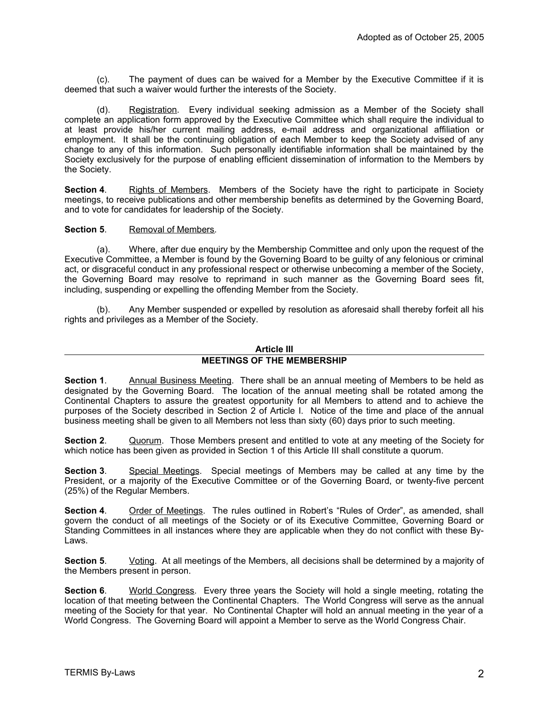(c). The payment of dues can be waived for a Member by the Executive Committee if it is deemed that such a waiver would further the interests of the Society.

(d). Registration. Every individual seeking admission as a Member of the Society shall complete an application form approved by the Executive Committee which shall require the individual to at least provide his/her current mailing address, e-mail address and organizational affiliation or employment. It shall be the continuing obligation of each Member to keep the Society advised of any change to any of this information. Such personally identifiable information shall be maintained by the Society exclusively for the purpose of enabling efficient dissemination of information to the Members by the Society.

**Section 4.** Rights of Members. Members of the Society have the right to participate in Society meetings, to receive publications and other membership benefits as determined by the Governing Board, and to vote for candidates for leadership of the Society.

#### **Section 5.** Removal of Members.

(a). Where, after due enquiry by the Membership Committee and only upon the request of the Executive Committee, a Member is found by the Governing Board to be guilty of any felonious or criminal act, or disgraceful conduct in any professional respect or otherwise unbecoming a member of the Society, the Governing Board may resolve to reprimand in such manner as the Governing Board sees fit, including, suspending or expelling the offending Member from the Society.

(b). Any Member suspended or expelled by resolution as aforesaid shall thereby forfeit all his rights and privileges as a Member of the Society.

#### **Article III MEETINGS OF THE MEMBERSHIP**

**Section 1**. Annual Business Meeting. There shall be an annual meeting of Members to be held as designated by the Governing Board. The location of the annual meeting shall be rotated among the Continental Chapters to assure the greatest opportunity for all Members to attend and to achieve the purposes of the Society described in Section 2 of Article I. Notice of the time and place of the annual business meeting shall be given to all Members not less than sixty (60) days prior to such meeting.

**Section 2**. Quorum. Those Members present and entitled to vote at any meeting of the Society for which notice has been given as provided in Section 1 of this Article III shall constitute a quorum.

**Section 3**. Special Meetings. Special meetings of Members may be called at any time by the President, or a majority of the Executive Committee or of the Governing Board, or twenty-five percent (25%) of the Regular Members.

**Section 4**. Order of Meetings. The rules outlined in Robert's "Rules of Order", as amended, shall govern the conduct of all meetings of the Society or of its Executive Committee, Governing Board or Standing Committees in all instances where they are applicable when they do not conflict with these By-Laws.

**Section 5.** Voting. At all meetings of the Members, all decisions shall be determined by a majority of the Members present in person.

**Section 6.** World Congress. Every three years the Society will hold a single meeting, rotating the location of that meeting between the Continental Chapters. The World Congress will serve as the annual meeting of the Society for that year. No Continental Chapter will hold an annual meeting in the year of a World Congress. The Governing Board will appoint a Member to serve as the World Congress Chair.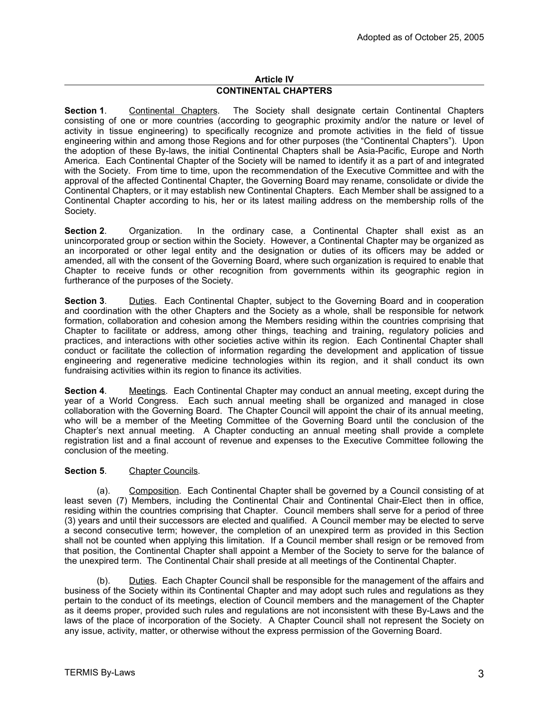### **Article IV CONTINENTAL CHAPTERS**

**Section 1**. Continental Chapters. The Society shall designate certain Continental Chapters consisting of one or more countries (according to geographic proximity and/or the nature or level of activity in tissue engineering) to specifically recognize and promote activities in the field of tissue engineering within and among those Regions and for other purposes (the "Continental Chapters"). Upon the adoption of these By-laws, the initial Continental Chapters shall be Asia-Pacific, Europe and North America. Each Continental Chapter of the Society will be named to identify it as a part of and integrated with the Society. From time to time, upon the recommendation of the Executive Committee and with the approval of the affected Continental Chapter, the Governing Board may rename, consolidate or divide the Continental Chapters, or it may establish new Continental Chapters. Each Member shall be assigned to a Continental Chapter according to his, her or its latest mailing address on the membership rolls of the Society.

**Section 2**. Organization. In the ordinary case, a Continental Chapter shall exist as an unincorporated group or section within the Society. However, a Continental Chapter may be organized as an incorporated or other legal entity and the designation or duties of its officers may be added or amended, all with the consent of the Governing Board, where such organization is required to enable that Chapter to receive funds or other recognition from governments within its geographic region in furtherance of the purposes of the Society.

**Section 3.** Duties. Each Continental Chapter, subject to the Governing Board and in cooperation and coordination with the other Chapters and the Society as a whole, shall be responsible for network formation, collaboration and cohesion among the Members residing within the countries comprising that Chapter to facilitate or address, among other things, teaching and training, regulatory policies and practices, and interactions with other societies active within its region. Each Continental Chapter shall conduct or facilitate the collection of information regarding the development and application of tissue engineering and regenerative medicine technologies within its region, and it shall conduct its own fundraising activities within its region to finance its activities.

**Section 4**. Meetings. Each Continental Chapter may conduct an annual meeting, except during the year of a World Congress. Each such annual meeting shall be organized and managed in close collaboration with the Governing Board. The Chapter Council will appoint the chair of its annual meeting, who will be a member of the Meeting Committee of the Governing Board until the conclusion of the Chapter's next annual meeting. A Chapter conducting an annual meeting shall provide a complete registration list and a final account of revenue and expenses to the Executive Committee following the conclusion of the meeting.

## **Section 5.** Chapter Councils.

(a). Composition. Each Continental Chapter shall be governed by a Council consisting of at least seven (7) Members, including the Continental Chair and Continental Chair-Elect then in office, residing within the countries comprising that Chapter. Council members shall serve for a period of three (3) years and until their successors are elected and qualified. A Council member may be elected to serve a second consecutive term; however, the completion of an unexpired term as provided in this Section shall not be counted when applying this limitation. If a Council member shall resign or be removed from that position, the Continental Chapter shall appoint a Member of the Society to serve for the balance of the unexpired term. The Continental Chair shall preside at all meetings of the Continental Chapter.

(b). Duties. Each Chapter Council shall be responsible for the management of the affairs and business of the Society within its Continental Chapter and may adopt such rules and regulations as they pertain to the conduct of its meetings, election of Council members and the management of the Chapter as it deems proper, provided such rules and regulations are not inconsistent with these By-Laws and the laws of the place of incorporation of the Society. A Chapter Council shall not represent the Society on any issue, activity, matter, or otherwise without the express permission of the Governing Board.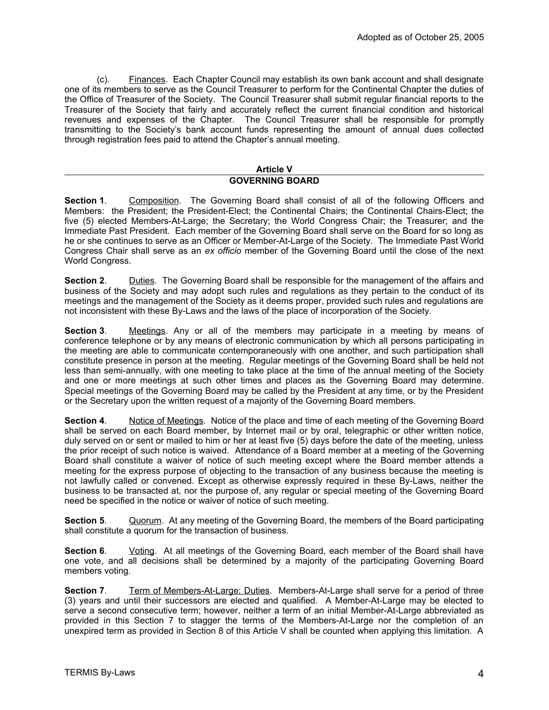(c). Finances. Each Chapter Council may establish its own bank account and shall designate one of its members to serve as the Council Treasurer to perform for the Continental Chapter the duties of the Office of Treasurer of the Society. The Council Treasurer shall submit regular financial reports to the Treasurer of the Society that fairly and accurately reflect the current financial condition and historical revenues and expenses of the Chapter. The Council Treasurer shall be responsible for promptly transmitting to the Society's bank account funds representing the amount of annual dues collected through registration fees paid to attend the Chapter's annual meeting.

#### **Article V GOVERNING BOARD**

**Section 1**. Composition. The Governing Board shall consist of all of the following Officers and Members: the President; the President-Elect; the Continental Chairs; the Continental Chairs-Elect; the five (5) elected Members-At-Large; the Secretary; the World Congress Chair; the Treasurer; and the Immediate Past President. Each member of the Governing Board shall serve on the Board for so long as he or she continues to serve as an Officer or Member-At-Large of the Society. The Immediate Past World Congress Chair shall serve as an *ex officio* member of the Governing Board until the close of the next World Congress.

**Section 2**. Duties. The Governing Board shall be responsible for the management of the affairs and business of the Society and may adopt such rules and regulations as they pertain to the conduct of its meetings and the management of the Society as it deems proper, provided such rules and regulations are not inconsistent with these By-Laws and the laws of the place of incorporation of the Society.

**Section 3**. Meetings. Any or all of the members may participate in a meeting by means of conference telephone or by any means of electronic communication by which all persons participating in the meeting are able to communicate contemporaneously with one another, and such participation shall constitute presence in person at the meeting. Regular meetings of the Governing Board shall be held not less than semi-annually, with one meeting to take place at the time of the annual meeting of the Society and one or more meetings at such other times and places as the Governing Board may determine. Special meetings of the Governing Board may be called by the President at any time, or by the President or the Secretary upon the written request of a majority of the Governing Board members.

**Section 4**. Notice of Meetings. Notice of the place and time of each meeting of the Governing Board shall be served on each Board member, by Internet mail or by oral, telegraphic or other written notice, duly served on or sent or mailed to him or her at least five (5) days before the date of the meeting, unless the prior receipt of such notice is waived. Attendance of a Board member at a meeting of the Governing Board shall constitute a waiver of notice of such meeting except where the Board member attends a meeting for the express purpose of objecting to the transaction of any business because the meeting is not lawfully called or convened. Except as otherwise expressly required in these By-Laws, neither the business to be transacted at, nor the purpose of, any regular or special meeting of the Governing Board need be specified in the notice or waiver of notice of such meeting.

**Section 5.** Quorum. At any meeting of the Governing Board, the members of the Board participating shall constitute a quorum for the transaction of business.

**Section 6.** Voting. At all meetings of the Governing Board, each member of the Board shall have one vote, and all decisions shall be determined by a majority of the participating Governing Board members voting.

**Section 7.** Term of Members-At-Large; Duties. Members-At-Large shall serve for a period of three (3) years and until their successors are elected and qualified. A Member-At-Large may be elected to serve a second consecutive term; however, neither a term of an initial Member-At-Large abbreviated as provided in this Section 7 to stagger the terms of the Members-At-Large nor the completion of an unexpired term as provided in Section 8 of this Article V shall be counted when applying this limitation. A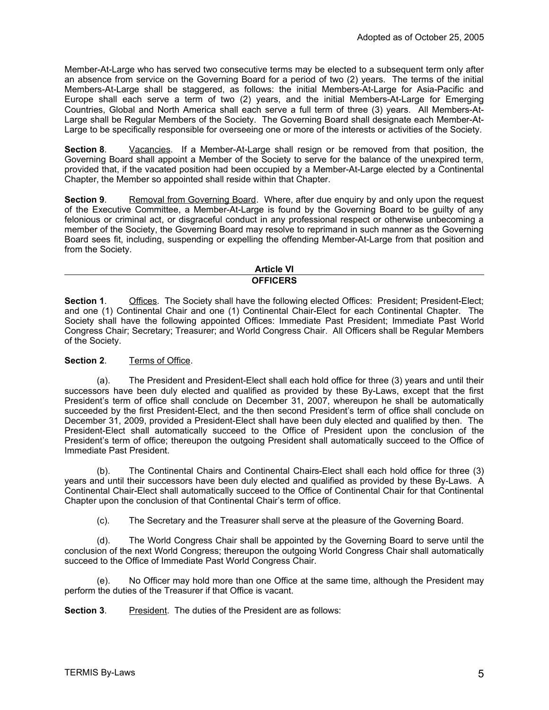Member-At-Large who has served two consecutive terms may be elected to a subsequent term only after an absence from service on the Governing Board for a period of two (2) years. The terms of the initial Members-At-Large shall be staggered, as follows: the initial Members-At-Large for Asia-Pacific and Europe shall each serve a term of two (2) years, and the initial Members-At-Large for Emerging Countries, Global and North America shall each serve a full term of three (3) years. All Members-At-Large shall be Regular Members of the Society. The Governing Board shall designate each Member-At-Large to be specifically responsible for overseeing one or more of the interests or activities of the Society.

**Section 8.** Vacancies. If a Member-At-Large shall resign or be removed from that position, the Governing Board shall appoint a Member of the Society to serve for the balance of the unexpired term, provided that, if the vacated position had been occupied by a Member-At-Large elected by a Continental Chapter, the Member so appointed shall reside within that Chapter.

**Section 9.** Removal from Governing Board. Where, after due enquiry by and only upon the request of the Executive Committee, a Member-At-Large is found by the Governing Board to be guilty of any felonious or criminal act, or disgraceful conduct in any professional respect or otherwise unbecoming a member of the Society, the Governing Board may resolve to reprimand in such manner as the Governing Board sees fit, including, suspending or expelling the offending Member-At-Large from that position and from the Society.

#### **Article VI OFFICERS**

**Section 1.** Offices. The Society shall have the following elected Offices: President; President-Elect; and one (1) Continental Chair and one (1) Continental Chair-Elect for each Continental Chapter. The Society shall have the following appointed Offices: Immediate Past President; Immediate Past World Congress Chair; Secretary; Treasurer; and World Congress Chair. All Officers shall be Regular Members of the Society.

## **Section 2**. Terms of Office.

(a). The President and President-Elect shall each hold office for three (3) years and until their successors have been duly elected and qualified as provided by these By-Laws, except that the first President's term of office shall conclude on December 31, 2007, whereupon he shall be automatically succeeded by the first President-Elect, and the then second President's term of office shall conclude on December 31, 2009, provided a President-Elect shall have been duly elected and qualified by then. The President-Elect shall automatically succeed to the Office of President upon the conclusion of the President's term of office; thereupon the outgoing President shall automatically succeed to the Office of Immediate Past President.

(b). The Continental Chairs and Continental Chairs-Elect shall each hold office for three (3) years and until their successors have been duly elected and qualified as provided by these By-Laws. A Continental Chair-Elect shall automatically succeed to the Office of Continental Chair for that Continental Chapter upon the conclusion of that Continental Chair's term of office.

(c). The Secretary and the Treasurer shall serve at the pleasure of the Governing Board.

(d). The World Congress Chair shall be appointed by the Governing Board to serve until the conclusion of the next World Congress; thereupon the outgoing World Congress Chair shall automatically succeed to the Office of Immediate Past World Congress Chair.

(e). No Officer may hold more than one Office at the same time, although the President may perform the duties of the Treasurer if that Office is vacant.

**Section 3**. President. The duties of the President are as follows: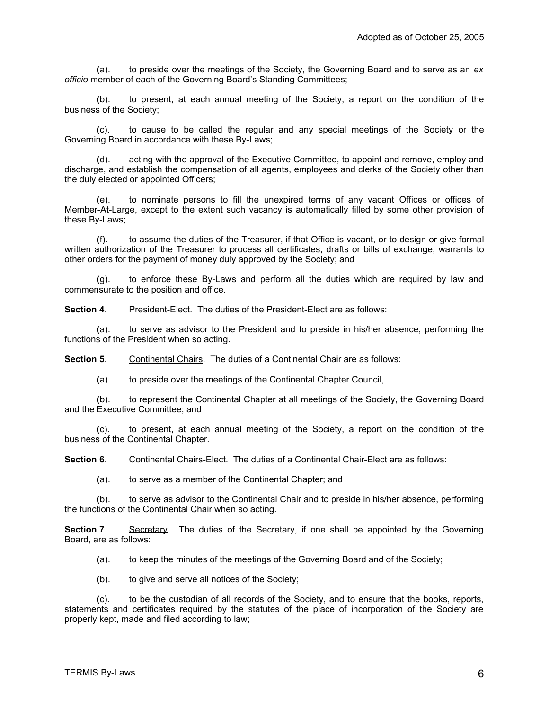(a). to preside over the meetings of the Society, the Governing Board and to serve as an *ex officio* member of each of the Governing Board's Standing Committees;

(b). to present, at each annual meeting of the Society, a report on the condition of the business of the Society;

(c). to cause to be called the regular and any special meetings of the Society or the Governing Board in accordance with these By-Laws;

(d). acting with the approval of the Executive Committee, to appoint and remove, employ and discharge, and establish the compensation of all agents, employees and clerks of the Society other than the duly elected or appointed Officers;

(e). to nominate persons to fill the unexpired terms of any vacant Offices or offices of Member-At-Large, except to the extent such vacancy is automatically filled by some other provision of these By-Laws;

(f). to assume the duties of the Treasurer, if that Office is vacant, or to design or give formal written authorization of the Treasurer to process all certificates, drafts or bills of exchange, warrants to other orders for the payment of money duly approved by the Society; and

(g). to enforce these By-Laws and perform all the duties which are required by law and commensurate to the position and office.

**Section 4.** President-Elect. The duties of the President-Elect are as follows:

(a). to serve as advisor to the President and to preside in his/her absence, performing the functions of the President when so acting.

**Section 5**. Continental Chairs. The duties of a Continental Chair are as follows:

(a). to preside over the meetings of the Continental Chapter Council,

(b). to represent the Continental Chapter at all meetings of the Society, the Governing Board and the Executive Committee; and

(c). to present, at each annual meeting of the Society, a report on the condition of the business of the Continental Chapter.

**Section 6.** Continental Chairs-Elect. The duties of a Continental Chair-Elect are as follows:

(a). to serve as a member of the Continental Chapter; and

(b). to serve as advisor to the Continental Chair and to preside in his/her absence, performing the functions of the Continental Chair when so acting.

**Section 7.** Secretary. The duties of the Secretary, if one shall be appointed by the Governing Board, are as follows:

(a). to keep the minutes of the meetings of the Governing Board and of the Society;

(b). to give and serve all notices of the Society;

(c). to be the custodian of all records of the Society, and to ensure that the books, reports, statements and certificates required by the statutes of the place of incorporation of the Society are properly kept, made and filed according to law;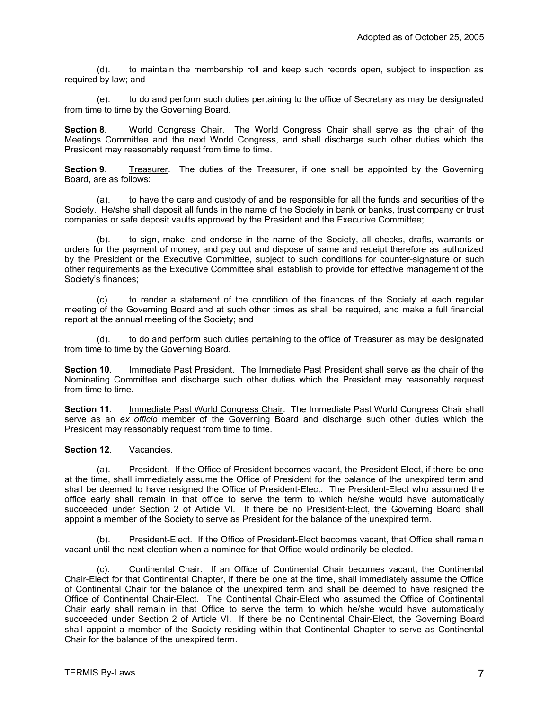(d). to maintain the membership roll and keep such records open, subject to inspection as required by law; and

(e). to do and perform such duties pertaining to the office of Secretary as may be designated from time to time by the Governing Board.

**Section 8.** World Congress Chair. The World Congress Chair shall serve as the chair of the Meetings Committee and the next World Congress, and shall discharge such other duties which the President may reasonably request from time to time.

**Section 9.** Treasurer. The duties of the Treasurer, if one shall be appointed by the Governing Board, are as follows:

(a). to have the care and custody of and be responsible for all the funds and securities of the Society. He/she shall deposit all funds in the name of the Society in bank or banks, trust company or trust companies or safe deposit vaults approved by the President and the Executive Committee;

(b). to sign, make, and endorse in the name of the Society, all checks, drafts, warrants or orders for the payment of money, and pay out and dispose of same and receipt therefore as authorized by the President or the Executive Committee, subject to such conditions for counter-signature or such other requirements as the Executive Committee shall establish to provide for effective management of the Society's finances;

(c). to render a statement of the condition of the finances of the Society at each regular meeting of the Governing Board and at such other times as shall be required, and make a full financial report at the annual meeting of the Society; and

(d). to do and perform such duties pertaining to the office of Treasurer as may be designated from time to time by the Governing Board.

**Section 10**. Immediate Past President. The Immediate Past President shall serve as the chair of the Nominating Committee and discharge such other duties which the President may reasonably request from time to time.

**Section 11**. Immediate Past World Congress Chair. The Immediate Past World Congress Chair shall serve as an *ex officio* member of the Governing Board and discharge such other duties which the President may reasonably request from time to time.

### **Section 12**. Vacancies.

(a). President. If the Office of President becomes vacant, the President-Elect, if there be one at the time, shall immediately assume the Office of President for the balance of the unexpired term and shall be deemed to have resigned the Office of President-Elect. The President-Elect who assumed the office early shall remain in that office to serve the term to which he/she would have automatically succeeded under Section 2 of Article VI. If there be no President-Elect, the Governing Board shall appoint a member of the Society to serve as President for the balance of the unexpired term.

(b). President-Elect. If the Office of President-Elect becomes vacant, that Office shall remain vacant until the next election when a nominee for that Office would ordinarily be elected.

(c). Continental Chair. If an Office of Continental Chair becomes vacant, the Continental Chair-Elect for that Continental Chapter, if there be one at the time, shall immediately assume the Office of Continental Chair for the balance of the unexpired term and shall be deemed to have resigned the Office of Continental Chair-Elect. The Continental Chair-Elect who assumed the Office of Continental Chair early shall remain in that Office to serve the term to which he/she would have automatically succeeded under Section 2 of Article VI. If there be no Continental Chair-Elect, the Governing Board shall appoint a member of the Society residing within that Continental Chapter to serve as Continental Chair for the balance of the unexpired term.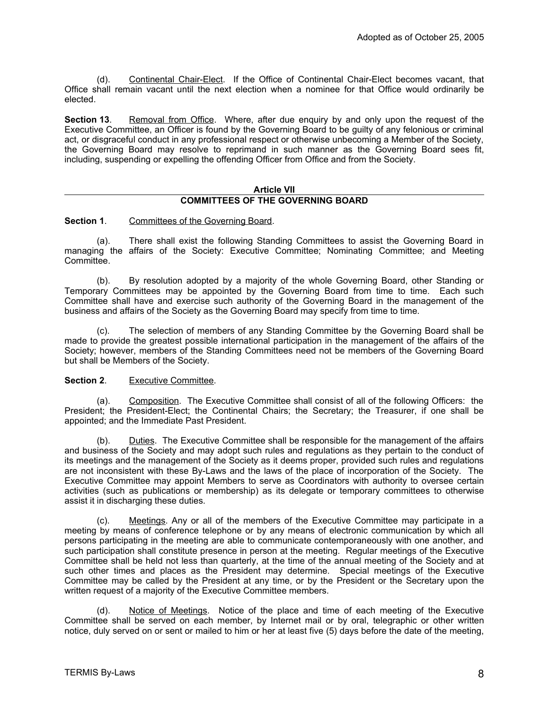(d). Continental Chair-Elect. If the Office of Continental Chair-Elect becomes vacant, that Office shall remain vacant until the next election when a nominee for that Office would ordinarily be elected.

**Section 13**. Removal from Office. Where, after due enquiry by and only upon the request of the Executive Committee, an Officer is found by the Governing Board to be guilty of any felonious or criminal act, or disgraceful conduct in any professional respect or otherwise unbecoming a Member of the Society, the Governing Board may resolve to reprimand in such manner as the Governing Board sees fit, including, suspending or expelling the offending Officer from Office and from the Society.

#### **Article VII COMMITTEES OF THE GOVERNING BOARD**

**Section 1.** Committees of the Governing Board.

(a). There shall exist the following Standing Committees to assist the Governing Board in managing the affairs of the Society: Executive Committee; Nominating Committee; and Meeting Committee.

(b). By resolution adopted by a majority of the whole Governing Board, other Standing or Temporary Committees may be appointed by the Governing Board from time to time. Each such Committee shall have and exercise such authority of the Governing Board in the management of the business and affairs of the Society as the Governing Board may specify from time to time.

(c). The selection of members of any Standing Committee by the Governing Board shall be made to provide the greatest possible international participation in the management of the affairs of the Society; however, members of the Standing Committees need not be members of the Governing Board but shall be Members of the Society.

#### **Section 2.** Executive Committee.

(a). Composition. The Executive Committee shall consist of all of the following Officers: the President; the President-Elect; the Continental Chairs; the Secretary; the Treasurer, if one shall be appointed; and the Immediate Past President.

(b). Duties. The Executive Committee shall be responsible for the management of the affairs and business of the Society and may adopt such rules and regulations as they pertain to the conduct of its meetings and the management of the Society as it deems proper, provided such rules and regulations are not inconsistent with these By-Laws and the laws of the place of incorporation of the Society. The Executive Committee may appoint Members to serve as Coordinators with authority to oversee certain activities (such as publications or membership) as its delegate or temporary committees to otherwise assist it in discharging these duties.

(c). Meetings. Any or all of the members of the Executive Committee may participate in a meeting by means of conference telephone or by any means of electronic communication by which all persons participating in the meeting are able to communicate contemporaneously with one another, and such participation shall constitute presence in person at the meeting. Regular meetings of the Executive Committee shall be held not less than quarterly, at the time of the annual meeting of the Society and at such other times and places as the President may determine. Special meetings of the Executive Committee may be called by the President at any time, or by the President or the Secretary upon the written request of a majority of the Executive Committee members.

(d). Notice of Meetings. Notice of the place and time of each meeting of the Executive Committee shall be served on each member, by Internet mail or by oral, telegraphic or other written notice, duly served on or sent or mailed to him or her at least five (5) days before the date of the meeting,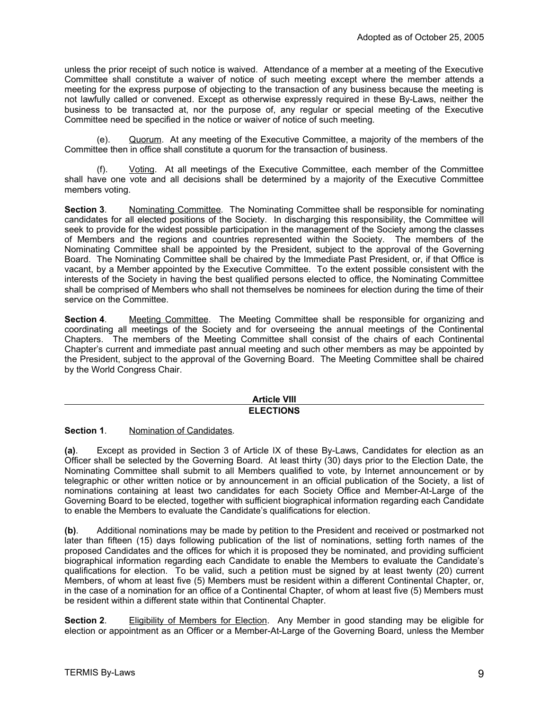unless the prior receipt of such notice is waived. Attendance of a member at a meeting of the Executive Committee shall constitute a waiver of notice of such meeting except where the member attends a meeting for the express purpose of objecting to the transaction of any business because the meeting is not lawfully called or convened. Except as otherwise expressly required in these By-Laws, neither the business to be transacted at, nor the purpose of, any regular or special meeting of the Executive Committee need be specified in the notice or waiver of notice of such meeting.

(e). Quorum. At any meeting of the Executive Committee, a majority of the members of the Committee then in office shall constitute a quorum for the transaction of business.

(f). Voting. At all meetings of the Executive Committee, each member of the Committee shall have one vote and all decisions shall be determined by a majority of the Executive Committee members voting.

**Section 3**. Nominating Committee. The Nominating Committee shall be responsible for nominating candidates for all elected positions of the Society. In discharging this responsibility, the Committee will seek to provide for the widest possible participation in the management of the Society among the classes of Members and the regions and countries represented within the Society. The members of the Nominating Committee shall be appointed by the President, subject to the approval of the Governing Board. The Nominating Committee shall be chaired by the Immediate Past President, or, if that Office is vacant, by a Member appointed by the Executive Committee. To the extent possible consistent with the interests of the Society in having the best qualified persons elected to office, the Nominating Committee shall be comprised of Members who shall not themselves be nominees for election during the time of their service on the Committee.

**Section 4.** Meeting Committee. The Meeting Committee shall be responsible for organizing and coordinating all meetings of the Society and for overseeing the annual meetings of the Continental Chapters. The members of the Meeting Committee shall consist of the chairs of each Continental Chapter's current and immediate past annual meeting and such other members as may be appointed by the President, subject to the approval of the Governing Board. The Meeting Committee shall be chaired by the World Congress Chair.

#### **Article VIII ELECTIONS**

**Section 1**. Nomination of Candidates.

**(a)**. Except as provided in Section 3 of Article IX of these By-Laws, Candidates for election as an Officer shall be selected by the Governing Board. At least thirty (30) days prior to the Election Date, the Nominating Committee shall submit to all Members qualified to vote, by Internet announcement or by telegraphic or other written notice or by announcement in an official publication of the Society, a list of nominations containing at least two candidates for each Society Office and Member-At-Large of the Governing Board to be elected, together with sufficient biographical information regarding each Candidate to enable the Members to evaluate the Candidate's qualifications for election.

**(b)**. Additional nominations may be made by petition to the President and received or postmarked not later than fifteen (15) days following publication of the list of nominations, setting forth names of the proposed Candidates and the offices for which it is proposed they be nominated, and providing sufficient biographical information regarding each Candidate to enable the Members to evaluate the Candidate's qualifications for election. To be valid, such a petition must be signed by at least twenty (20) current Members, of whom at least five (5) Members must be resident within a different Continental Chapter, or, in the case of a nomination for an office of a Continental Chapter, of whom at least five (5) Members must be resident within a different state within that Continental Chapter.

**Section 2.** Eligibility of Members for Election. Any Member in good standing may be eligible for election or appointment as an Officer or a Member-At-Large of the Governing Board, unless the Member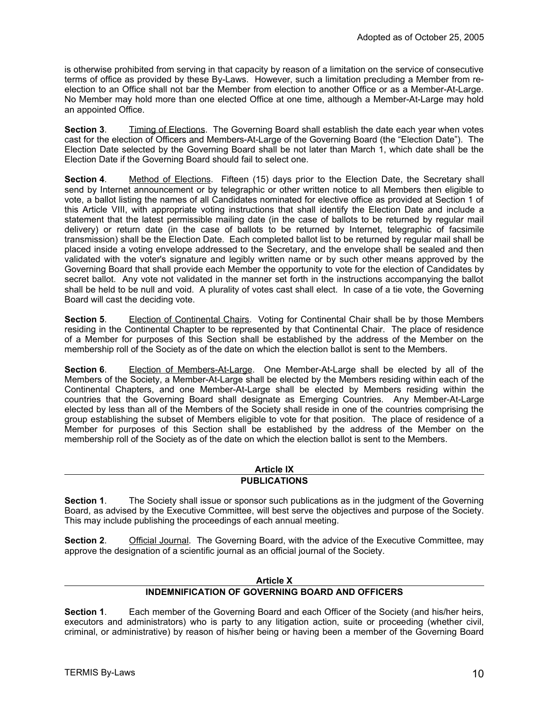is otherwise prohibited from serving in that capacity by reason of a limitation on the service of consecutive terms of office as provided by these By-Laws. However, such a limitation precluding a Member from reelection to an Office shall not bar the Member from election to another Office or as a Member-At-Large. No Member may hold more than one elected Office at one time, although a Member-At-Large may hold an appointed Office.

**Section 3.** Timing of Elections. The Governing Board shall establish the date each year when votes cast for the election of Officers and Members-At-Large of the Governing Board (the "Election Date"). The Election Date selected by the Governing Board shall be not later than March 1, which date shall be the Election Date if the Governing Board should fail to select one.

**Section 4.** Method of Elections. Fifteen (15) days prior to the Election Date, the Secretary shall send by Internet announcement or by telegraphic or other written notice to all Members then eligible to vote, a ballot listing the names of all Candidates nominated for elective office as provided at Section 1 of this Article VIII, with appropriate voting instructions that shall identify the Election Date and include a statement that the latest permissible mailing date (in the case of ballots to be returned by regular mail delivery) or return date (in the case of ballots to be returned by Internet, telegraphic of facsimile transmission) shall be the Election Date. Each completed ballot list to be returned by regular mail shall be placed inside a voting envelope addressed to the Secretary, and the envelope shall be sealed and then validated with the voter's signature and legibly written name or by such other means approved by the Governing Board that shall provide each Member the opportunity to vote for the election of Candidates by secret ballot. Any vote not validated in the manner set forth in the instructions accompanying the ballot shall be held to be null and void. A plurality of votes cast shall elect. In case of a tie vote, the Governing Board will cast the deciding vote.

**Section 5**. Election of Continental Chairs. Voting for Continental Chair shall be by those Members residing in the Continental Chapter to be represented by that Continental Chair. The place of residence of a Member for purposes of this Section shall be established by the address of the Member on the membership roll of the Society as of the date on which the election ballot is sent to the Members.

**Section 6.** Election of Members-At-Large. One Member-At-Large shall be elected by all of the Members of the Society, a Member-At-Large shall be elected by the Members residing within each of the Continental Chapters, and one Member-At-Large shall be elected by Members residing within the countries that the Governing Board shall designate as Emerging Countries. Any Member-At-Large elected by less than all of the Members of the Society shall reside in one of the countries comprising the group establishing the subset of Members eligible to vote for that position. The place of residence of a Member for purposes of this Section shall be established by the address of the Member on the membership roll of the Society as of the date on which the election ballot is sent to the Members.

#### **Article IX PUBLICATIONS**

**Section 1**. The Society shall issue or sponsor such publications as in the judgment of the Governing Board, as advised by the Executive Committee, will best serve the objectives and purpose of the Society. This may include publishing the proceedings of each annual meeting.

**Section 2.** Official Journal. The Governing Board, with the advice of the Executive Committee, may approve the designation of a scientific journal as an official journal of the Society.

## **Article X**

## **INDEMNIFICATION OF GOVERNING BOARD AND OFFICERS**

**Section 1**. Each member of the Governing Board and each Officer of the Society (and his/her heirs, executors and administrators) who is party to any litigation action, suite or proceeding (whether civil, criminal, or administrative) by reason of his/her being or having been a member of the Governing Board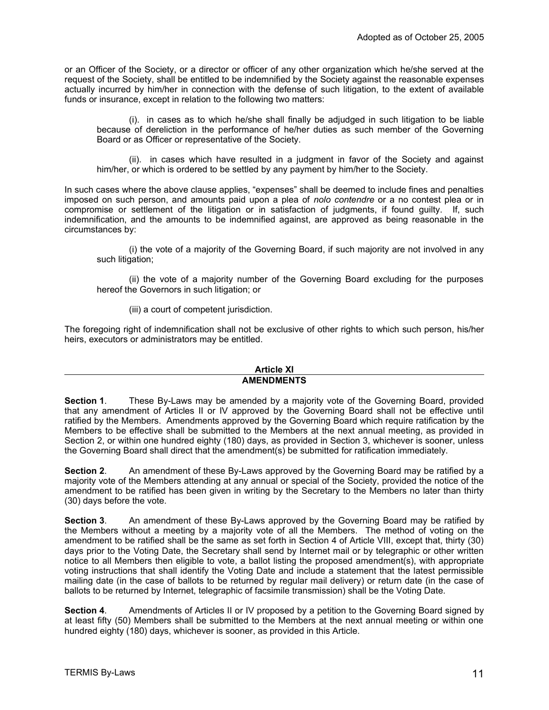or an Officer of the Society, or a director or officer of any other organization which he/she served at the request of the Society, shall be entitled to be indemnified by the Society against the reasonable expenses actually incurred by him/her in connection with the defense of such litigation, to the extent of available funds or insurance, except in relation to the following two matters:

(i). in cases as to which he/she shall finally be adjudged in such litigation to be liable because of dereliction in the performance of he/her duties as such member of the Governing Board or as Officer or representative of the Society.

(ii). in cases which have resulted in a judgment in favor of the Society and against him/her, or which is ordered to be settled by any payment by him/her to the Society.

In such cases where the above clause applies, "expenses" shall be deemed to include fines and penalties imposed on such person, and amounts paid upon a plea of *nolo contendre* or a no contest plea or in compromise or settlement of the litigation or in satisfaction of judgments, if found guilty. If, such indemnification, and the amounts to be indemnified against, are approved as being reasonable in the circumstances by:

(i) the vote of a majority of the Governing Board, if such majority are not involved in any such litigation;

(ii) the vote of a majority number of the Governing Board excluding for the purposes hereof the Governors in such litigation; or

(iii) a court of competent jurisdiction.

The foregoing right of indemnification shall not be exclusive of other rights to which such person, his/her heirs, executors or administrators may be entitled.

#### **Article XI AMENDMENTS**

**Section 1**. These By-Laws may be amended by a majority vote of the Governing Board, provided that any amendment of Articles II or IV approved by the Governing Board shall not be effective until ratified by the Members. Amendments approved by the Governing Board which require ratification by the Members to be effective shall be submitted to the Members at the next annual meeting, as provided in Section 2, or within one hundred eighty (180) days, as provided in Section 3, whichever is sooner, unless the Governing Board shall direct that the amendment(s) be submitted for ratification immediately.

**Section 2**. An amendment of these By-Laws approved by the Governing Board may be ratified by a majority vote of the Members attending at any annual or special of the Society, provided the notice of the amendment to be ratified has been given in writing by the Secretary to the Members no later than thirty (30) days before the vote.

**Section 3**. An amendment of these By-Laws approved by the Governing Board may be ratified by the Members without a meeting by a majority vote of all the Members. The method of voting on the amendment to be ratified shall be the same as set forth in Section 4 of Article VIII, except that, thirty (30) days prior to the Voting Date, the Secretary shall send by Internet mail or by telegraphic or other written notice to all Members then eligible to vote, a ballot listing the proposed amendment(s), with appropriate voting instructions that shall identify the Voting Date and include a statement that the latest permissible mailing date (in the case of ballots to be returned by regular mail delivery) or return date (in the case of ballots to be returned by Internet, telegraphic of facsimile transmission) shall be the Voting Date.

**Section 4**. Amendments of Articles II or IV proposed by a petition to the Governing Board signed by at least fifty (50) Members shall be submitted to the Members at the next annual meeting or within one hundred eighty (180) days, whichever is sooner, as provided in this Article.